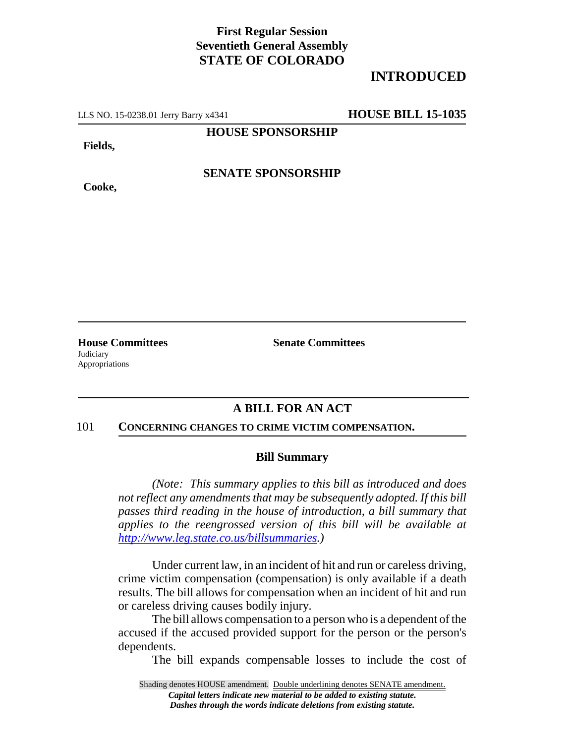## **First Regular Session Seventieth General Assembly STATE OF COLORADO**

# **INTRODUCED**

LLS NO. 15-0238.01 Jerry Barry x4341 **HOUSE BILL 15-1035**

**HOUSE SPONSORSHIP**

**Fields,**

**Cooke,**

**SENATE SPONSORSHIP**

**Judiciary** Appropriations

**House Committees Senate Committees** 

## **A BILL FOR AN ACT**

#### 101 **CONCERNING CHANGES TO CRIME VICTIM COMPENSATION.**

### **Bill Summary**

*(Note: This summary applies to this bill as introduced and does not reflect any amendments that may be subsequently adopted. If this bill passes third reading in the house of introduction, a bill summary that applies to the reengrossed version of this bill will be available at http://www.leg.state.co.us/billsummaries.)*

Under current law, in an incident of hit and run or careless driving, crime victim compensation (compensation) is only available if a death results. The bill allows for compensation when an incident of hit and run or careless driving causes bodily injury.

The bill allows compensation to a person who is a dependent of the accused if the accused provided support for the person or the person's dependents.

The bill expands compensable losses to include the cost of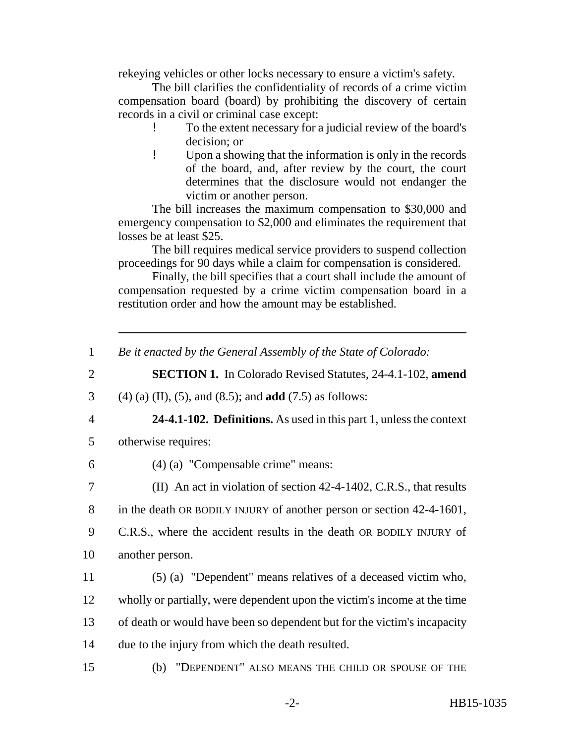rekeying vehicles or other locks necessary to ensure a victim's safety.

The bill clarifies the confidentiality of records of a crime victim compensation board (board) by prohibiting the discovery of certain records in a civil or criminal case except:

- ! To the extent necessary for a judicial review of the board's decision; or
- ! Upon a showing that the information is only in the records of the board, and, after review by the court, the court determines that the disclosure would not endanger the victim or another person.

The bill increases the maximum compensation to \$30,000 and emergency compensation to \$2,000 and eliminates the requirement that losses be at least \$25.

The bill requires medical service providers to suspend collection proceedings for 90 days while a claim for compensation is considered.

Finally, the bill specifies that a court shall include the amount of compensation requested by a crime victim compensation board in a restitution order and how the amount may be established.

|  |  |  | Be it enacted by the General Assembly of the State of Colorado: |
|--|--|--|-----------------------------------------------------------------|
|  |  |  |                                                                 |

2 **SECTION 1.** In Colorado Revised Statutes, 24-4.1-102, **amend**

3 (4) (a) (II), (5), and (8.5); and **add** (7.5) as follows:

- 4 **24-4.1-102. Definitions.** As used in this part 1, unless the context
- 5 otherwise requires:
- 
- 6 (4) (a) "Compensable crime" means:

7 (II) An act in violation of section 42-4-1402, C.R.S., that results

8 in the death OR BODILY INJURY of another person or section 42-4-1601,

- 9 C.R.S., where the accident results in the death OR BODILY INJURY of 10 another person.
- 11 (5) (a) "Dependent" means relatives of a deceased victim who, 12 wholly or partially, were dependent upon the victim's income at the time 13 of death or would have been so dependent but for the victim's incapacity 14 due to the injury from which the death resulted.
- 15 (b) "DEPENDENT" ALSO MEANS THE CHILD OR SPOUSE OF THE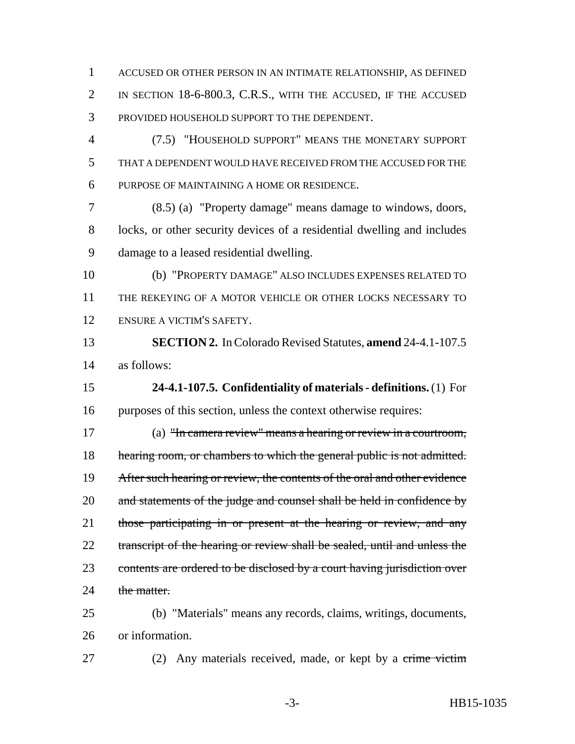ACCUSED OR OTHER PERSON IN AN INTIMATE RELATIONSHIP, AS DEFINED IN SECTION 18-6-800.3, C.R.S., WITH THE ACCUSED, IF THE ACCUSED PROVIDED HOUSEHOLD SUPPORT TO THE DEPENDENT.

 (7.5) "HOUSEHOLD SUPPORT" MEANS THE MONETARY SUPPORT THAT A DEPENDENT WOULD HAVE RECEIVED FROM THE ACCUSED FOR THE PURPOSE OF MAINTAINING A HOME OR RESIDENCE.

 (8.5) (a) "Property damage" means damage to windows, doors, locks, or other security devices of a residential dwelling and includes damage to a leased residential dwelling.

 (b) "PROPERTY DAMAGE" ALSO INCLUDES EXPENSES RELATED TO THE REKEYING OF A MOTOR VEHICLE OR OTHER LOCKS NECESSARY TO ENSURE A VICTIM'S SAFETY.

 **SECTION 2.** In Colorado Revised Statutes, **amend** 24-4.1-107.5 as follows:

 **24-4.1-107.5. Confidentiality of materials - definitions.** (1) For purposes of this section, unless the context otherwise requires:

 (a) "In camera review" means a hearing or review in a courtroom, 18 hearing room, or chambers to which the general public is not admitted. 19 After such hearing or review, the contents of the oral and other evidence 20 and statements of the judge and counsel shall be held in confidence by 21 those participating in or present at the hearing or review, and any 22 transcript of the hearing or review shall be sealed, until and unless the 23 contents are ordered to be disclosed by a court having jurisdiction over 24 the matter.

 (b) "Materials" means any records, claims, writings, documents, or information.

27 (2) Any materials received, made, or kept by a crime victim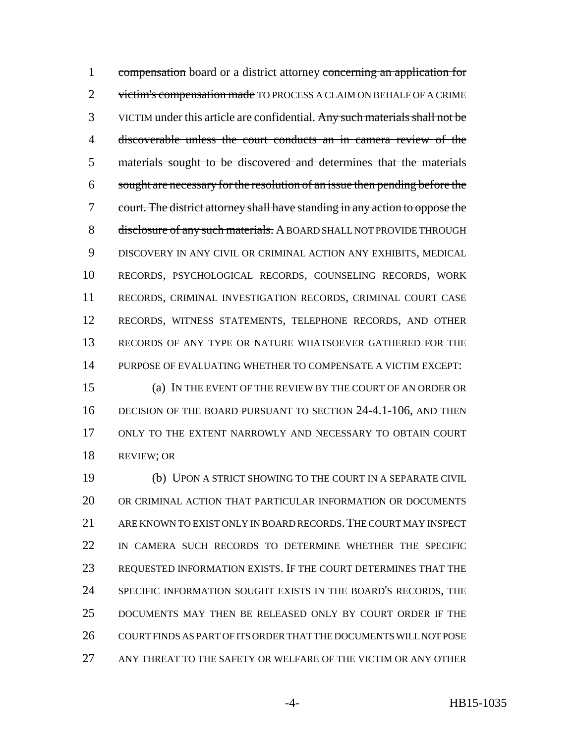1 compensation board or a district attorney concerning an application for 2 victim's compensation made TO PROCESS A CLAIM ON BEHALF OF A CRIME 3 VICTIM under this article are confidential. Any such materials shall not be discoverable unless the court conducts an in camera review of the materials sought to be discovered and determines that the materials sought are necessary for the resolution of an issue then pending before the court. The district attorney shall have standing in any action to oppose the 8 disclosure of any such materials. A BOARD SHALL NOT PROVIDE THROUGH DISCOVERY IN ANY CIVIL OR CRIMINAL ACTION ANY EXHIBITS, MEDICAL RECORDS, PSYCHOLOGICAL RECORDS, COUNSELING RECORDS, WORK RECORDS, CRIMINAL INVESTIGATION RECORDS, CRIMINAL COURT CASE RECORDS, WITNESS STATEMENTS, TELEPHONE RECORDS, AND OTHER RECORDS OF ANY TYPE OR NATURE WHATSOEVER GATHERED FOR THE PURPOSE OF EVALUATING WHETHER TO COMPENSATE A VICTIM EXCEPT:

 (a) IN THE EVENT OF THE REVIEW BY THE COURT OF AN ORDER OR 16 DECISION OF THE BOARD PURSUANT TO SECTION 24-4.1-106, AND THEN ONLY TO THE EXTENT NARROWLY AND NECESSARY TO OBTAIN COURT REVIEW; OR

 (b) UPON A STRICT SHOWING TO THE COURT IN A SEPARATE CIVIL OR CRIMINAL ACTION THAT PARTICULAR INFORMATION OR DOCUMENTS ARE KNOWN TO EXIST ONLY IN BOARD RECORDS.THE COURT MAY INSPECT IN CAMERA SUCH RECORDS TO DETERMINE WHETHER THE SPECIFIC REQUESTED INFORMATION EXISTS. IF THE COURT DETERMINES THAT THE SPECIFIC INFORMATION SOUGHT EXISTS IN THE BOARD'S RECORDS, THE DOCUMENTS MAY THEN BE RELEASED ONLY BY COURT ORDER IF THE COURT FINDS AS PART OF ITS ORDER THAT THE DOCUMENTS WILL NOT POSE ANY THREAT TO THE SAFETY OR WELFARE OF THE VICTIM OR ANY OTHER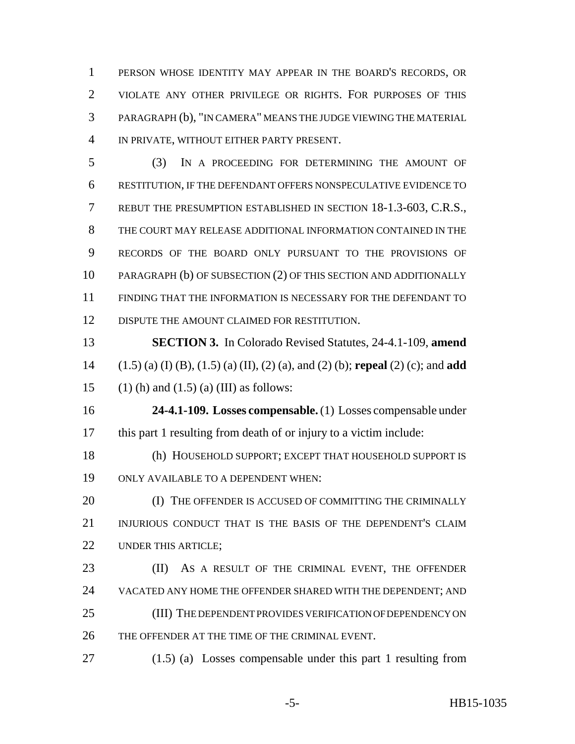PERSON WHOSE IDENTITY MAY APPEAR IN THE BOARD'S RECORDS, OR VIOLATE ANY OTHER PRIVILEGE OR RIGHTS. FOR PURPOSES OF THIS PARAGRAPH (b), "IN CAMERA" MEANS THE JUDGE VIEWING THE MATERIAL IN PRIVATE, WITHOUT EITHER PARTY PRESENT.

 (3) IN A PROCEEDING FOR DETERMINING THE AMOUNT OF RESTITUTION, IF THE DEFENDANT OFFERS NONSPECULATIVE EVIDENCE TO REBUT THE PRESUMPTION ESTABLISHED IN SECTION 18-1.3-603, C.R.S., THE COURT MAY RELEASE ADDITIONAL INFORMATION CONTAINED IN THE RECORDS OF THE BOARD ONLY PURSUANT TO THE PROVISIONS OF PARAGRAPH (b) OF SUBSECTION (2) OF THIS SECTION AND ADDITIONALLY FINDING THAT THE INFORMATION IS NECESSARY FOR THE DEFENDANT TO DISPUTE THE AMOUNT CLAIMED FOR RESTITUTION.

 **SECTION 3.** In Colorado Revised Statutes, 24-4.1-109, **amend** (1.5) (a) (I) (B), (1.5) (a) (II), (2) (a), and (2) (b); **repeal** (2) (c); and **add** 15 (1) (h) and (1.5) (a) (III) as follows:

 **24-4.1-109. Losses compensable.** (1) Losses compensable under this part 1 resulting from death of or injury to a victim include:

 (h) HOUSEHOLD SUPPORT; EXCEPT THAT HOUSEHOLD SUPPORT IS ONLY AVAILABLE TO A DEPENDENT WHEN:

**(I) THE OFFENDER IS ACCUSED OF COMMITTING THE CRIMINALLY**  INJURIOUS CONDUCT THAT IS THE BASIS OF THE DEPENDENT'S CLAIM 22 UNDER THIS ARTICLE:

23 (II) As a result of the criminal event, the offender VACATED ANY HOME THE OFFENDER SHARED WITH THE DEPENDENT; AND 25 (III) THE DEPENDENT PROVIDES VERIFICATION OF DEPENDENCY ON THE OFFENDER AT THE TIME OF THE CRIMINAL EVENT.

(1.5) (a) Losses compensable under this part 1 resulting from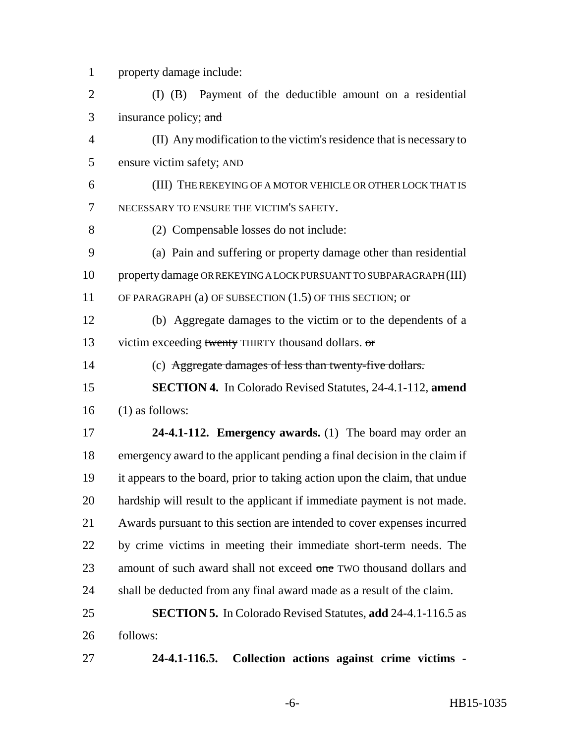property damage include:

 (I) (B) Payment of the deductible amount on a residential insurance policy; and

 (II) Any modification to the victim's residence that is necessary to ensure victim safety; AND

 (III) THE REKEYING OF A MOTOR VEHICLE OR OTHER LOCK THAT IS NECESSARY TO ENSURE THE VICTIM'S SAFETY.

(2) Compensable losses do not include:

 (a) Pain and suffering or property damage other than residential property damage OR REKEYING A LOCK PURSUANT TO SUBPARAGRAPH (III) OF PARAGRAPH (a) OF SUBSECTION (1.5) OF THIS SECTION; or

 (b) Aggregate damages to the victim or to the dependents of a 13 victim exceeding twenty THIRTY thousand dollars. or

(c) Aggregate damages of less than twenty-five dollars.

 **SECTION 4.** In Colorado Revised Statutes, 24-4.1-112, **amend** (1) as follows:

 **24-4.1-112. Emergency awards.** (1) The board may order an emergency award to the applicant pending a final decision in the claim if it appears to the board, prior to taking action upon the claim, that undue hardship will result to the applicant if immediate payment is not made. Awards pursuant to this section are intended to cover expenses incurred by crime victims in meeting their immediate short-term needs. The 23 amount of such award shall not exceed one TWO thousand dollars and shall be deducted from any final award made as a result of the claim.

 **SECTION 5.** In Colorado Revised Statutes, **add** 24-4.1-116.5 as follows:

**24-4.1-116.5. Collection actions against crime victims -**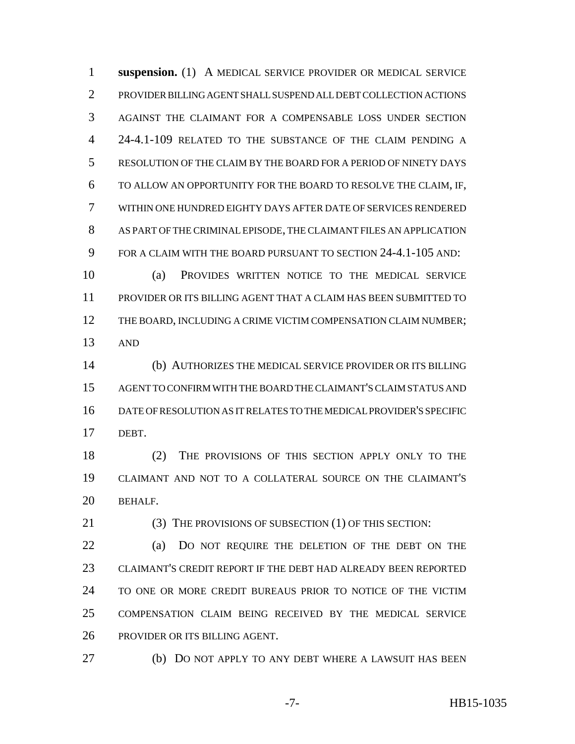**suspension.** (1) A MEDICAL SERVICE PROVIDER OR MEDICAL SERVICE PROVIDER BILLING AGENT SHALL SUSPEND ALL DEBT COLLECTION ACTIONS AGAINST THE CLAIMANT FOR A COMPENSABLE LOSS UNDER SECTION 24-4.1-109 RELATED TO THE SUBSTANCE OF THE CLAIM PENDING A RESOLUTION OF THE CLAIM BY THE BOARD FOR A PERIOD OF NINETY DAYS TO ALLOW AN OPPORTUNITY FOR THE BOARD TO RESOLVE THE CLAIM, IF, WITHIN ONE HUNDRED EIGHTY DAYS AFTER DATE OF SERVICES RENDERED AS PART OF THE CRIMINAL EPISODE, THE CLAIMANT FILES AN APPLICATION FOR A CLAIM WITH THE BOARD PURSUANT TO SECTION 24-4.1-105 AND:

 (a) PROVIDES WRITTEN NOTICE TO THE MEDICAL SERVICE PROVIDER OR ITS BILLING AGENT THAT A CLAIM HAS BEEN SUBMITTED TO 12 THE BOARD, INCLUDING A CRIME VICTIM COMPENSATION CLAIM NUMBER; AND

 (b) AUTHORIZES THE MEDICAL SERVICE PROVIDER OR ITS BILLING AGENT TO CONFIRM WITH THE BOARD THE CLAIMANT'S CLAIM STATUS AND DATE OF RESOLUTION AS IT RELATES TO THE MEDICAL PROVIDER'S SPECIFIC DEBT.

 (2) THE PROVISIONS OF THIS SECTION APPLY ONLY TO THE CLAIMANT AND NOT TO A COLLATERAL SOURCE ON THE CLAIMANT'S BEHALF.

21 (3) THE PROVISIONS OF SUBSECTION (1) OF THIS SECTION:

 (a) DO NOT REQUIRE THE DELETION OF THE DEBT ON THE CLAIMANT'S CREDIT REPORT IF THE DEBT HAD ALREADY BEEN REPORTED TO ONE OR MORE CREDIT BUREAUS PRIOR TO NOTICE OF THE VICTIM COMPENSATION CLAIM BEING RECEIVED BY THE MEDICAL SERVICE PROVIDER OR ITS BILLING AGENT.

(b) DO NOT APPLY TO ANY DEBT WHERE A LAWSUIT HAS BEEN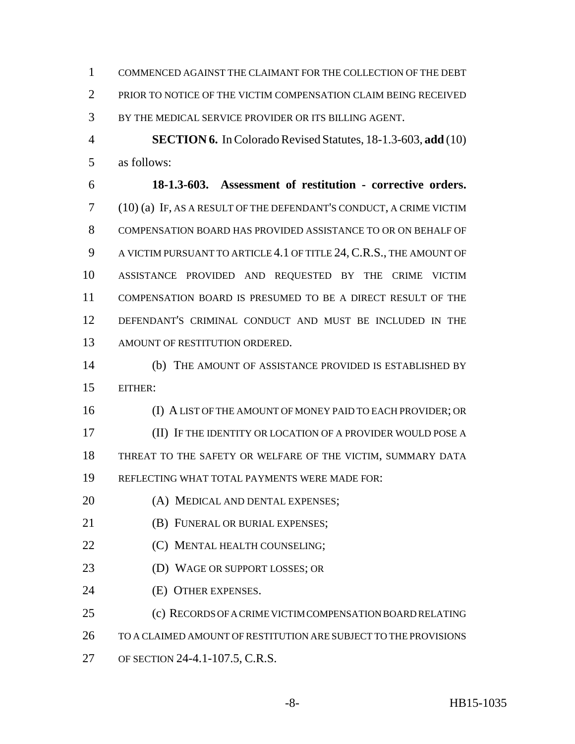COMMENCED AGAINST THE CLAIMANT FOR THE COLLECTION OF THE DEBT PRIOR TO NOTICE OF THE VICTIM COMPENSATION CLAIM BEING RECEIVED BY THE MEDICAL SERVICE PROVIDER OR ITS BILLING AGENT.

 **SECTION 6.** In Colorado Revised Statutes, 18-1.3-603, **add** (10) as follows:

 **18-1.3-603. Assessment of restitution - corrective orders.** (10) (a) IF, AS A RESULT OF THE DEFENDANT'S CONDUCT, A CRIME VICTIM COMPENSATION BOARD HAS PROVIDED ASSISTANCE TO OR ON BEHALF OF 9 A VICTIM PURSUANT TO ARTICLE 4.1 OF TITLE 24, C.R.S., THE AMOUNT OF ASSISTANCE PROVIDED AND REQUESTED BY THE CRIME VICTIM COMPENSATION BOARD IS PRESUMED TO BE A DIRECT RESULT OF THE DEFENDANT'S CRIMINAL CONDUCT AND MUST BE INCLUDED IN THE AMOUNT OF RESTITUTION ORDERED.

 (b) THE AMOUNT OF ASSISTANCE PROVIDED IS ESTABLISHED BY EITHER:

 (I) A LIST OF THE AMOUNT OF MONEY PAID TO EACH PROVIDER; OR (II) IF THE IDENTITY OR LOCATION OF A PROVIDER WOULD POSE A THREAT TO THE SAFETY OR WELFARE OF THE VICTIM, SUMMARY DATA REFLECTING WHAT TOTAL PAYMENTS WERE MADE FOR:

- 20 (A) MEDICAL AND DENTAL EXPENSES;
- **(B) FUNERAL OR BURIAL EXPENSES;**
- **(C) MENTAL HEALTH COUNSELING;**
- (D) WAGE OR SUPPORT LOSSES; OR
- (E) OTHER EXPENSES.

(c) RECORDS OF A CRIME VICTIM COMPENSATION BOARD RELATING

TO A CLAIMED AMOUNT OF RESTITUTION ARE SUBJECT TO THE PROVISIONS

OF SECTION 24-4.1-107.5, C.R.S.